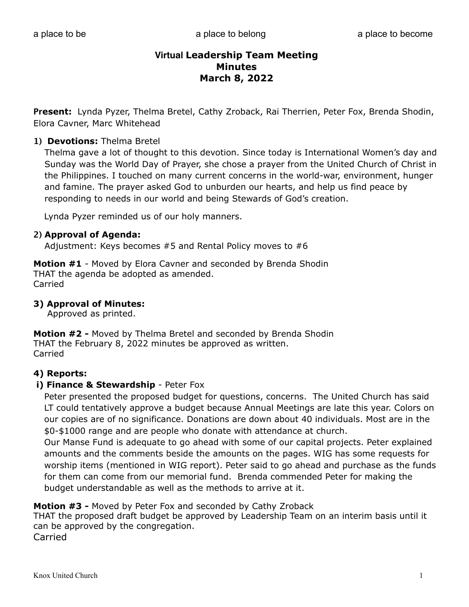**Present:** Lynda Pyzer, Thelma Bretel, Cathy Zroback, Rai Therrien, Peter Fox, Brenda Shodin, Elora Cavner, Marc Whitehead

# **1) Devotions:** Thelma Bretel

Thelma gave a lot of thought to this devotion. Since today is International Women's day and Sunday was the World Day of Prayer, she chose a prayer from the United Church of Christ in the Philippines. I touched on many current concerns in the world-war, environment, hunger and famine. The prayer asked God to unburden our hearts, and help us find peace by responding to needs in our world and being Stewards of God's creation.

Lynda Pyzer reminded us of our holy manners.

# **2) Approval of Agenda:**

Adjustment: Keys becomes #5 and Rental Policy moves to #6

**Motion #1** - Moved by Elora Cavner and seconded by Brenda Shodin THAT the agenda be adopted as amended. Carried

## **3) Approval of Minutes:**

Approved as printed.

**Motion #2 -** Moved by Thelma Bretel and seconded by Brenda Shodin THAT the February 8, 2022 minutes be approved as written. Carried

# **4) Reports:**

# **i) Finance & Stewardship** - Peter Fox

 Peter presented the proposed budget for questions, concerns. The United Church has said LT could tentatively approve a budget because Annual Meetings are late this year. Colors on our copies are of no significance. Donations are down about 40 individuals. Most are in the \$0-\$1000 range and are people who donate with attendance at church.

 Our Manse Fund is adequate to go ahead with some of our capital projects. Peter explained amounts and the comments beside the amounts on the pages. WIG has some requests for worship items (mentioned in WIG report). Peter said to go ahead and purchase as the funds for them can come from our memorial fund. Brenda commended Peter for making the budget understandable as well as the methods to arrive at it.

# **Motion #3 -** Moved by Peter Fox and seconded by Cathy Zroback

THAT the proposed draft budget be approved by Leadership Team on an interim basis until it can be approved by the congregation.

Carried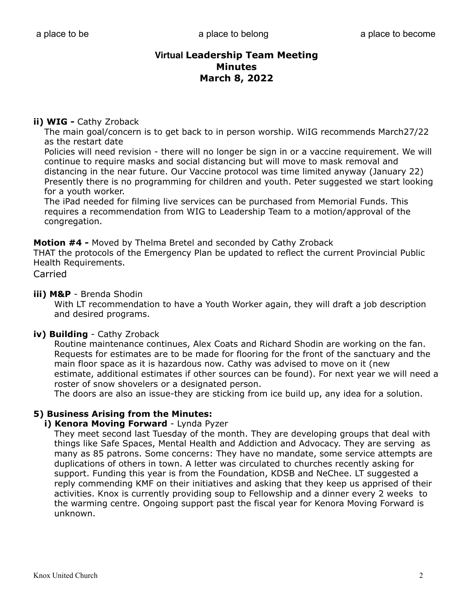# **ii) WIG - Cathy Zroback**

 The main goal/concern is to get back to in person worship. WiIG recommends March27/22 as the restart date

 Policies will need revision - there will no longer be sign in or a vaccine requirement. We will continue to require masks and social distancing but will move to mask removal and distancing in the near future. Our Vaccine protocol was time limited anyway (January 22) Presently there is no programming for children and youth. Peter suggested we start looking for a youth worker.

 The iPad needed for filming live services can be purchased from Memorial Funds. This requires a recommendation from WIG to Leadership Team to a motion/approval of the congregation.

**Motion #4 -** Moved by Thelma Bretel and seconded by Cathy Zroback

THAT the protocols of the Emergency Plan be updated to reflect the current Provincial Public Health Requirements.

Carried

#### **iii) M&P** - Brenda Shodin

 With LT recommendation to have a Youth Worker again, they will draft a job description and desired programs.

# **iv) Building** - Cathy Zroback

 Routine maintenance continues, Alex Coats and Richard Shodin are working on the fan. Requests for estimates are to be made for flooring for the front of the sanctuary and the main floor space as it is hazardous now. Cathy was advised to move on it (new estimate, additional estimates if other sources can be found). For next year we will need a roster of snow shovelers or a designated person.

The doors are also an issue-they are sticking from ice build up, any idea for a solution.

# **5) Business Arising from the Minutes:**

#### **i) Kenora Moving Forward** - Lynda Pyzer

 They meet second last Tuesday of the month. They are developing groups that deal with things like Safe Spaces, Mental Health and Addiction and Advocacy. They are serving as many as 85 patrons. Some concerns: They have no mandate, some service attempts are duplications of others in town. A letter was circulated to churches recently asking for support. Funding this year is from the Foundation, KDSB and NeChee. LT suggested a reply commending KMF on their initiatives and asking that they keep us apprised of their activities. Knox is currently providing soup to Fellowship and a dinner every 2 weeks to the warming centre. Ongoing support past the fiscal year for Kenora Moving Forward is unknown.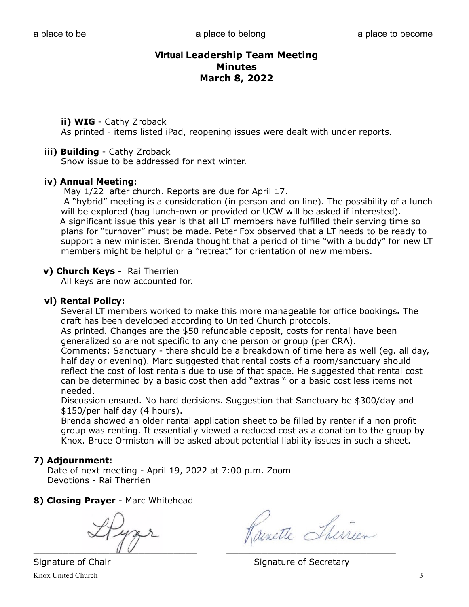## **ii) WIG** - Cathy Zroback

As printed - items listed iPad, reopening issues were dealt with under reports.

#### **iii) Building** - Cathy Zroback

Snow issue to be addressed for next winter.

#### **iv) Annual Meeting:**

May 1/22after church. Reports are due for April 17.

 A "hybrid" meeting is a consideration (in person and on line). The possibility of a lunch will be explored (bag lunch-own or provided or UCW will be asked if interested). A significant issue this year is that all LT members have fulfilled their serving time so plans for "turnover" must be made. Peter Fox observed that a LT needs to be ready to support a new minister. Brenda thought that a period of time "with a buddy" for new LT members might be helpful or a "retreat" for orientation of new members.

# **v) Church Keys** - Rai Therrien

All keys are now accounted for.

#### **vi) Rental Policy:**

 Several LT members worked to make this more manageable for office bookings**.** The draft has been developed according to United Church protocols.

 As printed. Changes are the \$50 refundable deposit, costs for rental have been generalized so are not specific to any one person or group (per CRA).

 Comments: Sanctuary - there should be a breakdown of time here as well (eg. all day, half day or evening). Marc suggested that rental costs of a room/sanctuary should reflect the cost of lost rentals due to use of that space. He suggested that rental cost can be determined by a basic cost then add "extras " or a basic cost less items not needed.

 Discussion ensued. No hard decisions. Suggestion that Sanctuary be \$300/day and \$150/per half day (4 hours).

 Brenda showed an older rental application sheet to be filled by renter if a non profit group was renting. It essentially viewed a reduced cost as a donation to the group by Knox. Bruce Ormiston will be asked about potential liability issues in such a sheet.

# **7) Adjournment:**

 Date of next meeting - April 19, 2022 at 7:00 p.m. Zoom Devotions - Rai Therrien

# **8) Closing Prayer** - Marc Whitehead

 $\blacksquare$ 

Kainette Theirien

Signature of Chair Signature of Secretary

Knox United Church 3